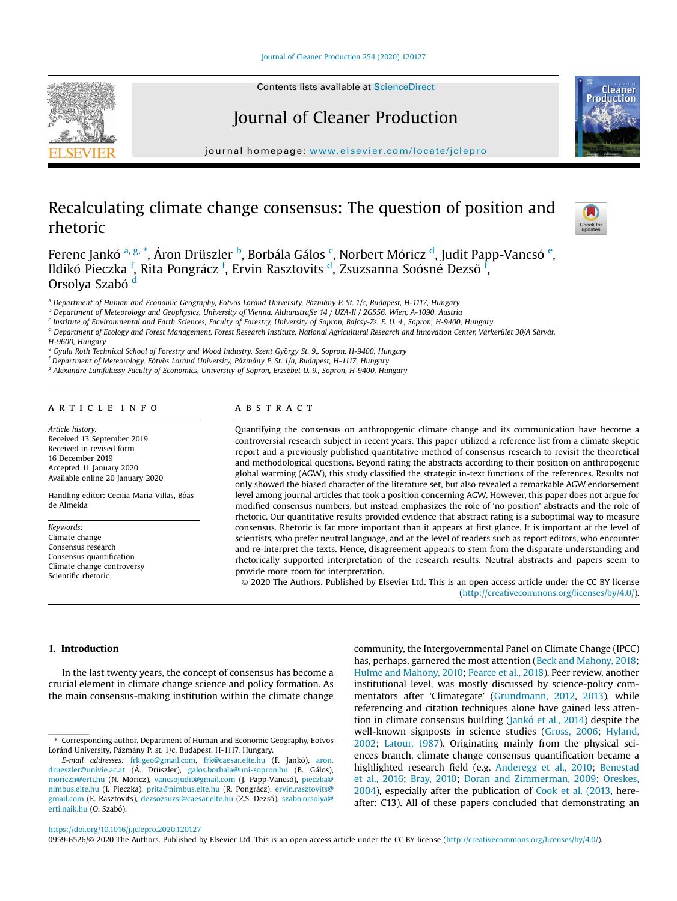Journal of Cleaner [Production](https://doi.org/10.1016/j.jclepro.2020.120127) 254 (2020) 120127



Contents lists available at ScienceDirect

# Journal of Cleaner Production

journal homepage: [www.elsevier.com/locate/jclepro](http://www.elsevier.com/locate/jclepro)

# Recalculating climate change consensus: The question of position and rhetoric



Productior

Ferenc J[a](#page-0-0)nkó <sup>a, [g](#page-0-1), [\\*](#page-0-2)</sup>, Áron Drüszler <sup>[b](#page-0-3)</sup>, Borbála Gálos <sup>[c](#page-0-4)</sup>, Norbert Móricz <sup>[d](#page-0-5)</sup>, Judit Papp-Vancsó <sup>[e](#page-0-6)</sup>, Ildikó Pieczka <sup>[f](#page-0-7)</sup>, Rita Pongrácz <sup>f</sup>, Ervin Rasztovits <sup>[d](#page-0-5)</sup>, Zsuzsanna Soósné Dezső <sup>f</sup>, Orsolya Szabó <sup>[d](#page-0-5)</sup>

<span id="page-0-0"></span>a Department of Human and Economic Geography, Eötvös Loránd University, Pázmány P. St. 1/c, Budapest, H-1117, Hungary

<span id="page-0-3"></span><sup>b</sup> Department of Meteorology and Geophysics, University of Vienna, Althanstraße 14 / UZA-II / 2G556, Wien, A-1090, Austria

<span id="page-0-4"></span><sup>c</sup> Institute of Environmental and Earth Sciences, Faculty of Forestry, University of Sopron, Bajcsy-Zs. E. U. 4., Sopron, H-9400, Hungary

<span id="page-0-5"></span><sup>d</sup> Department of Ecology and Forest Management, Forest Research Institute, National Agricultural Research and Innovation Center, Varkerület 30/A Sarvar,

H-9600, Hungary

<span id="page-0-6"></span>e Gyula Roth Technical School of Forestry and Wood Industry, Szent György St. 9., Sopron, H-9400, Hungary

<span id="page-0-7"></span><sup>f</sup> Department of Meteorology, Eötvös Loránd University, Pázmány P. St. 1/a, Budapest, H-1117, Hungary

<span id="page-0-1"></span><sup>g</sup> Alexandre Lamfalussy Faculty of Economics, University of Sopron, Erzsébet U. 9., Sopron, H-9400, Hungary

## a r t i c l e i n f o

Article history: Received 13 September 2019 Received in revised form 16 December 2019 Accepted 11 January 2020 Available online 20 January 2020

Handling editor: Cecilia Maria Villas, Bôas de Almeida

Keywords: Climate change Consensus research Consensus quantification Climate change controversy Scientific rhetoric

# A B S T R A C T

Quantifying the consensus on anthropogenic climate change and its communication have become a controversial research subject in recent years. This paper utilized a reference list from a climate skeptic report and a previously published quantitative method of consensus research to revisit the theoretical and methodological questions. Beyond rating the abstracts according to their position on anthropogenic global warming (AGW), this study classified the strategic in-text functions of the references. Results not only showed the biased character of the literature set, but also revealed a remarkable AGW endorsement level among journal articles that took a position concerning AGW. However, this paper does not argue for modified consensus numbers, but instead emphasizes the role of 'no position' abstracts and the role of rhetoric. Our quantitative results provided evidence that abstract rating is a suboptimal way to measure consensus. Rhetoric is far more important than it appears at first glance. It is important at the level of scientists, who prefer neutral language, and at the level of readers such as report editors, who encounter and re-interpret the texts. Hence, disagreement appears to stem from the disparate understanding and rhetorically supported interpretation of the research results. Neutral abstracts and papers seem to provide more room for interpretation.

© 2020 The Authors. Published by Elsevier Ltd. This is an open access article under the CC BY license [\(http://creativecommons.org/licenses/by/4.0/](http://creativecommons.org/licenses/by/4.0/)).

#### 1. Introduction

In the last twenty years, the concept of consensus has become a crucial element in climate change science and policy formation. As the main consensus-making institution within the climate change community, the Intergovernmental Panel on Climate Change (IPCC) has, perhaps, garnered the most attention (Beck and [Mahony,](#page-8-0) 2018; Hulme and [Mahony,](#page-8-1) 2010; [Pearce](#page-9-0) et al., 2018). Peer review, another institutional level, was mostly discussed by science-policy commentators after 'Climategate' ([Grundmann,](#page-8-2) 2012, [2013](#page-8-3)), while referencing and citation techniques alone have gained less atten-tion in climate consensus building ([Jank](#page-8-4)ó et al., [2014](#page-8-4)) despite the well-known signposts in science studies ([Gross,](#page-8-5) 2006; [Hyland,](#page-8-6) [2002;](#page-8-6) [Latour,](#page-9-1) 1987). Originating mainly from the physical sciences branch, climate change consensus quantification became a highlighted research field (e.g. [Anderegg](#page-8-7) et al., 2010; [Benestad](#page-8-8) et al., [2016;](#page-8-8) Bray, [2010;](#page-8-9) Doran and [Zimmerman,](#page-8-10) 2009; [Oreskes,](#page-9-2) [2004\)](#page-9-2), especially after the publication of Cook et al. [\(2013](#page-8-11), hereafter: C13). All of these papers concluded that demonstrating an

<https://doi.org/10.1016/j.jclepro.2020.120127>

0959-6526/© 2020 The Authors. Published by Elsevier Ltd. This is an open access article under the CC BY license (<http://creativecommons.org/licenses/by/4.0/>).

<span id="page-0-2"></span><sup>\*</sup> Corresponding author. Department of Human and Economic Geography, Eötvös Loránd University, Pázmány P. st. 1/c, Budapest, H-1117, Hungary.

E-mail addresses: [frk.geo@gmail.com](mailto:frk.geo@gmail.com), [frk@caesar.elte.hu](mailto:frk@caesar.elte.hu) (F. Janko), [aron.](mailto:aron.drueszler@univie.ac.at) [drueszler@univie.ac.at](mailto:aron.drueszler@univie.ac.at) (A. Drüszler), [galos.borbala@uni-sopron.hu](mailto:galos.borbala@uni-sopron.hu) (B. Galos), [moriczn@erti.hu](mailto:moriczn@erti.hu) (N. Móricz), [vancsojudit@gmail.com](mailto:vancsojudit@gmail.com) (J. Papp-Vancsó), [pieczka@](mailto:pieczka@nimbus.elte.hu) [nimbus.elte.hu](mailto:pieczka@nimbus.elte.hu) (I. Pieczka), [prita@nimbus.elte.hu](mailto:prita@nimbus.elte.hu) (R. Pongrácz), [ervin.rasztovits@](mailto:ervin.rasztovits@gmail.com) [gmail.com](mailto:ervin.rasztovits@gmail.com) (E. Rasztovits), [dezsozsuzsi@caesar.elte.hu](mailto:dezsozsuzsi@caesar.elte.hu) (Z.S. Dezső), [szabo.orsolya@](mailto:szabo.orsolya@erti.naik.hu) [erti.naik.hu](mailto:szabo.orsolya@erti.naik.hu) (O. Szabó).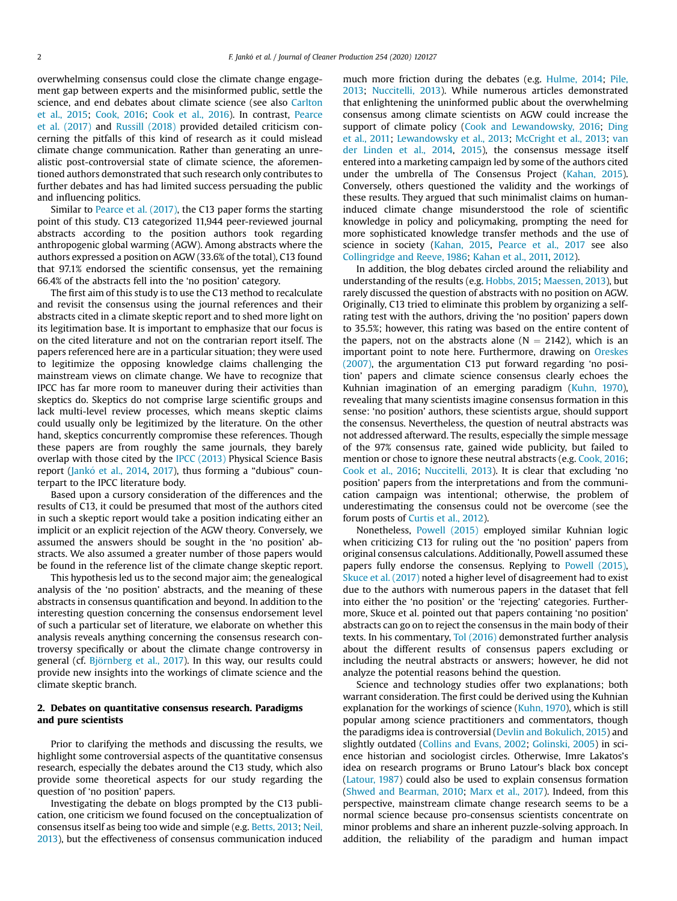overwhelming consensus could close the climate change engagement gap between experts and the misinformed public, settle the science, and end debates about climate science (see also [Carlton](#page-8-12) [et al., 2015](#page-8-12); [Cook, 2016](#page-8-13); [Cook et al., 2016\)](#page-8-14). In contrast, [Pearce](#page-9-3) [et al. \(2017\)](#page-9-3) and [Russill \(2018\)](#page-9-4) provided detailed criticism concerning the pitfalls of this kind of research as it could mislead climate change communication. Rather than generating an unrealistic post-controversial state of climate science, the aforementioned authors demonstrated that such research only contributes to further debates and has had limited success persuading the public and influencing politics.

Similar to [Pearce et al. \(2017\),](#page-9-3) the C13 paper forms the starting point of this study. C13 categorized 11,944 peer-reviewed journal abstracts according to the position authors took regarding anthropogenic global warming (AGW). Among abstracts where the authors expressed a position on AGW (33.6% of the total), C13 found that 97.1% endorsed the scientific consensus, yet the remaining 66.4% of the abstracts fell into the 'no position' category.

The first aim of this study is to use the C13 method to recalculate and revisit the consensus using the journal references and their abstracts cited in a climate skeptic report and to shed more light on its legitimation base. It is important to emphasize that our focus is on the cited literature and not on the contrarian report itself. The papers referenced here are in a particular situation; they were used to legitimize the opposing knowledge claims challenging the mainstream views on climate change. We have to recognize that IPCC has far more room to maneuver during their activities than skeptics do. Skeptics do not comprise large scientific groups and lack multi-level review processes, which means skeptic claims could usually only be legitimized by the literature. On the other hand, skeptics concurrently compromise these references. Though these papers are from roughly the same journals, they barely overlap with those cited by the [IPCC \(2013\)](#page-8-15) Physical Science Basis report (Jankó et al., 2014, [2017\)](#page-8-16), thus forming a "dubious" counterpart to the IPCC literature body.

Based upon a cursory consideration of the differences and the results of C13, it could be presumed that most of the authors cited in such a skeptic report would take a position indicating either an implicit or an explicit rejection of the AGW theory. Conversely, we assumed the answers should be sought in the 'no position' abstracts. We also assumed a greater number of those papers would be found in the reference list of the climate change skeptic report.

This hypothesis led us to the second major aim; the genealogical analysis of the 'no position' abstracts, and the meaning of these abstracts in consensus quantification and beyond. In addition to the interesting question concerning the consensus endorsement level of such a particular set of literature, we elaborate on whether this analysis reveals anything concerning the consensus research controversy specifically or about the climate change controversy in general (cf. [Bj](#page-8-17)ö[rnberg et al., 2017](#page-8-17)). In this way, our results could provide new insights into the workings of climate science and the climate skeptic branch.

## 2. Debates on quantitative consensus research. Paradigms and pure scientists

Prior to clarifying the methods and discussing the results, we highlight some controversial aspects of the quantitative consensus research, especially the debates around the C13 study, which also provide some theoretical aspects for our study regarding the question of 'no position' papers.

Investigating the debate on blogs prompted by the C13 publication, one criticism we found focused on the conceptualization of consensus itself as being too wide and simple (e.g. [Betts, 2013](#page-8-18); [Neil,](#page-9-5) [2013](#page-9-5)), but the effectiveness of consensus communication induced much more friction during the debates (e.g. [Hulme, 2014](#page-8-19); [Pile,](#page-9-6) [2013;](#page-9-6) [Nuccitelli, 2013\)](#page-9-7). While numerous articles demonstrated that enlightening the uninformed public about the overwhelming consensus among climate scientists on AGW could increase the support of climate policy ([Cook and Lewandowsky, 2016;](#page-8-20) [Ding](#page-8-21) [et al., 2011;](#page-8-21) [Lewandowsky et al., 2013;](#page-9-8) [McCright et al., 2013](#page-9-9); [van](#page-9-10) [der Linden et al., 2014](#page-9-10), [2015](#page-9-11)), the consensus message itself entered into a marketing campaign led by some of the authors cited under the umbrella of The Consensus Project ([Kahan, 2015\)](#page-8-22). Conversely, others questioned the validity and the workings of these results. They argued that such minimalist claims on humaninduced climate change misunderstood the role of scientific knowledge in policy and policymaking, prompting the need for more sophisticated knowledge transfer methods and the use of science in society [\(Kahan, 2015](#page-8-22), [Pearce et al., 2017](#page-9-3) see also [Collingridge and Reeve, 1986](#page-8-23); [Kahan et al., 2011,](#page-8-24) [2012](#page-8-25)).

In addition, the blog debates circled around the reliability and understanding of the results (e.g. [Hobbs, 2015](#page-8-26); [Maessen, 2013](#page-9-12)), but rarely discussed the question of abstracts with no position on AGW. Originally, C13 tried to eliminate this problem by organizing a selfrating test with the authors, driving the 'no position' papers down to 35.5%; however, this rating was based on the entire content of the papers, not on the abstracts alone ( $N = 2142$ ), which is an important point to note here. Furthermore, drawing on [Oreskes](#page-9-13) [\(2007\)](#page-9-13), the argumentation C13 put forward regarding 'no position' papers and climate science consensus clearly echoes the Kuhnian imagination of an emerging paradigm ([Kuhn, 1970\)](#page-9-14), revealing that many scientists imagine consensus formation in this sense: 'no position' authors, these scientists argue, should support the consensus. Nevertheless, the question of neutral abstracts was not addressed afterward. The results, especially the simple message of the 97% consensus rate, gained wide publicity, but failed to mention or chose to ignore these neutral abstracts (e.g. [Cook, 2016](#page-8-13); [Cook et al., 2016](#page-8-14); [Nuccitelli, 2013](#page-9-7)). It is clear that excluding 'no position' papers from the interpretations and from the communication campaign was intentional; otherwise, the problem of underestimating the consensus could not be overcome (see the forum posts of [Curtis et al., 2012](#page-8-27)).

Nonetheless, [Powell \(2015\)](#page-9-15) employed similar Kuhnian logic when criticizing C13 for ruling out the 'no position' papers from original consensus calculations. Additionally, Powell assumed these papers fully endorse the consensus. Replying to [Powell \(2015\),](#page-9-15) [Skuce et al. \(2017\)](#page-9-16) noted a higher level of disagreement had to exist due to the authors with numerous papers in the dataset that fell into either the 'no position' or the 'rejecting' categories. Furthermore, Skuce et al. pointed out that papers containing 'no position' abstracts can go on to reject the consensus in the main body of their texts. In his commentary, [Tol \(2016\)](#page-9-17) demonstrated further analysis about the different results of consensus papers excluding or including the neutral abstracts or answers; however, he did not analyze the potential reasons behind the question.

Science and technology studies offer two explanations; both warrant consideration. The first could be derived using the Kuhnian explanation for the workings of science ([Kuhn, 1970\)](#page-9-14), which is still popular among science practitioners and commentators, though the paradigms idea is controversial ([Devlin and Bokulich, 2015\)](#page-8-28) and slightly outdated [\(Collins and Evans, 2002](#page-8-29); [Golinski, 2005\)](#page-8-30) in science historian and sociologist circles. Otherwise, Imre Lakatos's idea on research programs or Bruno Latour's black box concept ([Latour, 1987](#page-9-1)) could also be used to explain consensus formation ([Shwed and Bearman, 2010;](#page-9-18) [Marx et al., 2017](#page-9-19)). Indeed, from this perspective, mainstream climate change research seems to be a normal science because pro-consensus scientists concentrate on minor problems and share an inherent puzzle-solving approach. In addition, the reliability of the paradigm and human impact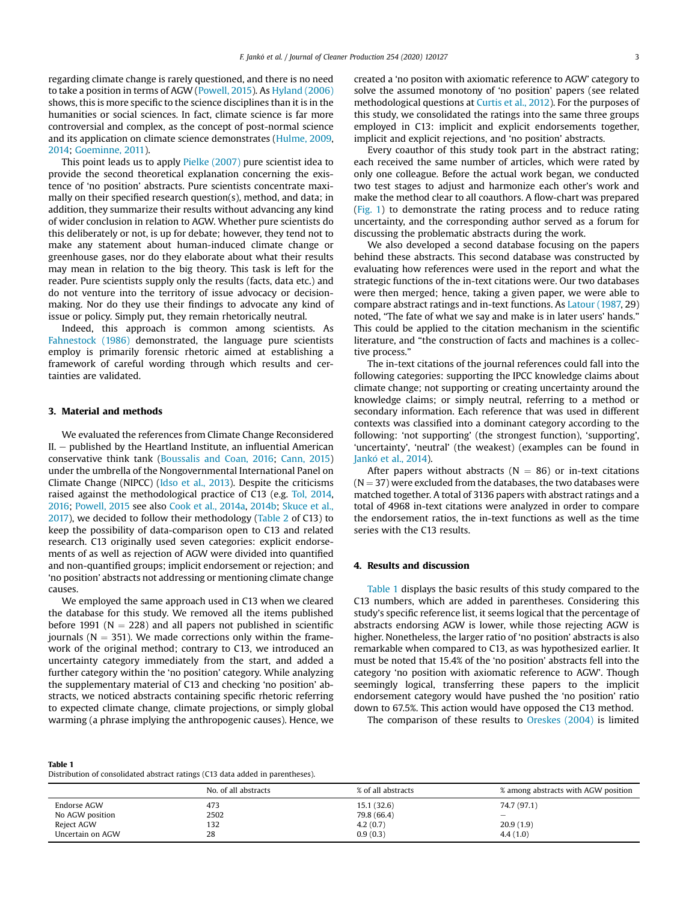regarding climate change is rarely questioned, and there is no need to take a position in terms of AGW ([Powell, 2015\)](#page-9-15). As [Hyland \(2006\)](#page-8-31) shows, this is more specific to the science disciplines than it is in the humanities or social sciences. In fact, climate science is far more controversial and complex, as the concept of post-normal science and its application on climate science demonstrates ([Hulme, 2009,](#page-8-32) [2014;](#page-8-19) [Goeminne, 2011](#page-8-33)).

This point leads us to apply [Pielke \(2007\)](#page-9-20) pure scientist idea to provide the second theoretical explanation concerning the existence of 'no position' abstracts. Pure scientists concentrate maximally on their specified research question(s), method, and data; in addition, they summarize their results without advancing any kind of wider conclusion in relation to AGW. Whether pure scientists do this deliberately or not, is up for debate; however, they tend not to make any statement about human-induced climate change or greenhouse gases, nor do they elaborate about what their results may mean in relation to the big theory. This task is left for the reader. Pure scientists supply only the results (facts, data etc.) and do not venture into the territory of issue advocacy or decisionmaking. Nor do they use their findings to advocate any kind of issue or policy. Simply put, they remain rhetorically neutral.

Indeed, this approach is common among scientists. As [Fahnestock \(1986\)](#page-8-34) demonstrated, the language pure scientists employ is primarily forensic rhetoric aimed at establishing a framework of careful wording through which results and certainties are validated.

#### 3. Material and methods

We evaluated the references from Climate Change Reconsidered  $II.$  – published by the Heartland Institute, an influential American conservative think tank ([Boussalis and Coan, 2016;](#page-8-35) [Cann, 2015\)](#page-8-36) under the umbrella of the Nongovernmental International Panel on Climate Change (NIPCC) ([Idso et al., 2013](#page-8-37)). Despite the criticisms raised against the methodological practice of C13 (e.g. [Tol, 2014,](#page-9-21) [2016;](#page-9-17) [Powell, 2015](#page-9-15) see also [Cook et al., 2014a,](#page-8-38) [2014b](#page-8-39); [Skuce et al.,](#page-9-16) [2017](#page-9-16)), we decided to follow their methodology ([Table 2](#page-3-0) of C13) to keep the possibility of data-comparison open to C13 and related research. C13 originally used seven categories: explicit endorsements of as well as rejection of AGW were divided into quantified and non-quantified groups; implicit endorsement or rejection; and 'no position' abstracts not addressing or mentioning climate change causes.

We employed the same approach used in C13 when we cleared the database for this study. We removed all the items published before 1991 ( $N = 228$ ) and all papers not published in scientific journals ( $N = 351$ ). We made corrections only within the framework of the original method; contrary to C13, we introduced an uncertainty category immediately from the start, and added a further category within the 'no position' category. While analyzing the supplementary material of C13 and checking 'no position' abstracts, we noticed abstracts containing specific rhetoric referring to expected climate change, climate projections, or simply global warming (a phrase implying the anthropogenic causes). Hence, we created a 'no positon with axiomatic reference to AGW' category to solve the assumed monotony of 'no position' papers (see related methodological questions at [Curtis et al., 2012\)](#page-8-27). For the purposes of this study, we consolidated the ratings into the same three groups employed in C13: implicit and explicit endorsements together, implicit and explicit rejections, and 'no position' abstracts.

Every coauthor of this study took part in the abstract rating; each received the same number of articles, which were rated by only one colleague. Before the actual work began, we conducted two test stages to adjust and harmonize each other's work and make the method clear to all coauthors. A flow-chart was prepared ([Fig. 1\)](#page-3-1) to demonstrate the rating process and to reduce rating uncertainty, and the corresponding author served as a forum for discussing the problematic abstracts during the work.

We also developed a second database focusing on the papers behind these abstracts. This second database was constructed by evaluating how references were used in the report and what the strategic functions of the in-text citations were. Our two databases were then merged; hence, taking a given paper, we were able to compare abstract ratings and in-text functions. As [Latour \(1987,](#page-9-1) 29) noted, "The fate of what we say and make is in later users' hands." This could be applied to the citation mechanism in the scientific literature, and "the construction of facts and machines is a collective process."

The in-text citations of the journal references could fall into the following categories: supporting the IPCC knowledge claims about climate change; not supporting or creating uncertainty around the knowledge claims; or simply neutral, referring to a method or secondary information. Each reference that was used in different contexts was classified into a dominant category according to the following: 'not supporting' (the strongest function), 'supporting', 'uncertainty', 'neutral' (the weakest) (examples can be found in Jankó et al., 2014).

After papers without abstracts ( $N = 86$ ) or in-text citations  $(N = 37)$  were excluded from the databases, the two databases were matched together. A total of 3136 papers with abstract ratings and a total of 4968 in-text citations were analyzed in order to compare the endorsement ratios, the in-text functions as well as the time series with the C13 results.

#### 4. Results and discussion

[Table 1](#page-2-0) displays the basic results of this study compared to the C13 numbers, which are added in parentheses. Considering this study's specific reference list, it seems logical that the percentage of abstracts endorsing AGW is lower, while those rejecting AGW is higher. Nonetheless, the larger ratio of 'no position' abstracts is also remarkable when compared to C13, as was hypothesized earlier. It must be noted that 15.4% of the 'no position' abstracts fell into the category 'no position with axiomatic reference to AGW'. Though seemingly logical, transferring these papers to the implicit endorsement category would have pushed the 'no position' ratio down to 67.5%. This action would have opposed the C13 method.

The comparison of these results to [Oreskes \(2004\)](#page-9-2) is limited

<span id="page-2-0"></span>Table 1 Distribution of consolidated abstract ratings (C13 data added in parentheses).

|                  | No. of all abstracts | % of all abstracts | % among abstracts with AGW position |
|------------------|----------------------|--------------------|-------------------------------------|
| Endorse AGW      | 473                  | 15.1(32.6)         | 74.7 (97.1)                         |
| No AGW position  | 2502                 | 79.8 (66.4)        | -                                   |
| Reject AGW       | 132                  | 4.2(0.7)           | 20.9(1.9)                           |
| Uncertain on AGW | 28                   | 0.9(0.3)           | 4.4(1.0)                            |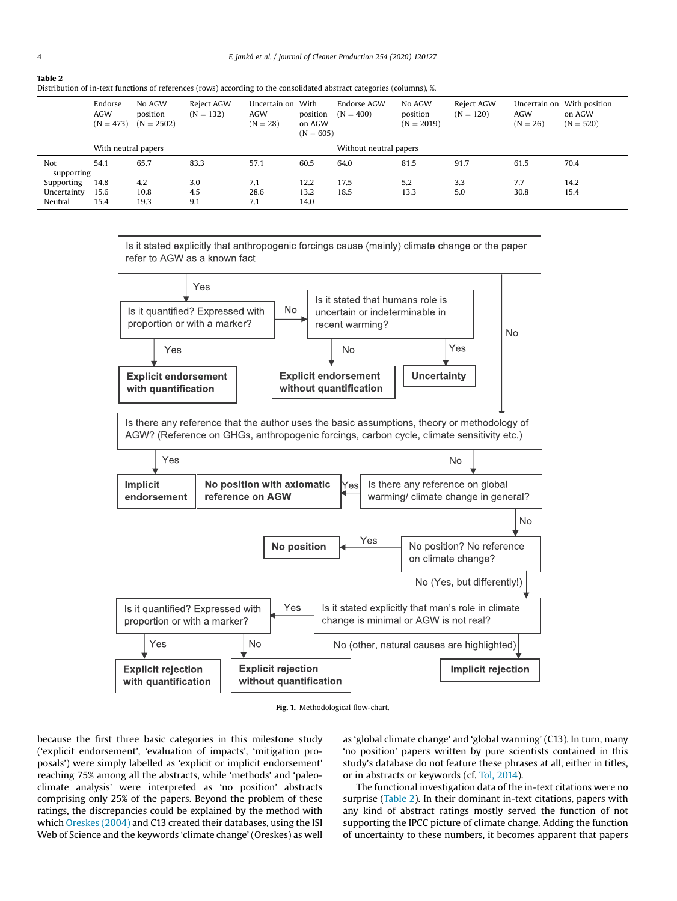Distribution of in-text functions of references (rows) according to the consolidated abstract categories (columns), %.

| bistribution of in text runctions of references (rows) according to the consonauted abstract categories (columns), % |                                      |                                    |                           |                                               |                                   |                            |                                    |                           |                                          |                                        |
|----------------------------------------------------------------------------------------------------------------------|--------------------------------------|------------------------------------|---------------------------|-----------------------------------------------|-----------------------------------|----------------------------|------------------------------------|---------------------------|------------------------------------------|----------------------------------------|
|                                                                                                                      | Endorse<br><b>AGW</b><br>$(N = 473)$ | No AGW<br>position<br>$(N = 2502)$ | Reject AGW<br>$(N = 132)$ | Uncertain on With<br><b>AGW</b><br>$(N = 28)$ | position<br>on AGW<br>$(N = 605)$ | Endorse AGW<br>$(N = 400)$ | No AGW<br>position<br>$(N = 2019)$ | Reject AGW<br>$(N = 120)$ | Uncertain on<br><b>AGW</b><br>$(N = 26)$ | With position<br>on AGW<br>$(N = 520)$ |
|                                                                                                                      | With neutral papers                  |                                    |                           |                                               |                                   | Without neutral papers     |                                    |                           |                                          |                                        |
| Not<br>supporting                                                                                                    | 54.1                                 | 65.7                               | 83.3                      | 57.1                                          | 60.5                              | 64.0                       | 81.5                               | 91.7                      | 61.5                                     | 70.4                                   |
| Supporting                                                                                                           | 14.8                                 | 4.2                                | 3.0                       | 7.1                                           | 12.2                              | 17.5                       | 5.2                                | 3.3                       | 7.7                                      | 14.2                                   |
| Uncertainty                                                                                                          | 15.6                                 | 10.8                               | 4.5                       | 28.6                                          | 13.2                              | 18.5                       | 13.3                               | 5.0                       | 30.8                                     | 15.4                                   |
| Neutral                                                                                                              | 15.4                                 | 19.3                               | 9.1                       | 7.1                                           | 14.0                              | $\qquad \qquad -$          | $\overline{\phantom{a}}$           | -                         | -                                        | $\overline{\phantom{a}}$               |

<span id="page-3-1"></span>

Fig. 1. Methodological flow-chart.

because the first three basic categories in this milestone study ('explicit endorsement', 'evaluation of impacts', 'mitigation proposals') were simply labelled as 'explicit or implicit endorsement' reaching 75% among all the abstracts, while 'methods' and 'paleoclimate analysis' were interpreted as 'no position' abstracts comprising only 25% of the papers. Beyond the problem of these ratings, the discrepancies could be explained by the method with which [Oreskes \(2004\)](#page-9-2) and C13 created their databases, using the ISI Web of Science and the keywords 'climate change' (Oreskes) as well as 'global climate change' and 'global warming' (C13). In turn, many 'no position' papers written by pure scientists contained in this study's database do not feature these phrases at all, either in titles, or in abstracts or keywords (cf. [Tol, 2014\)](#page-9-21).

The functional investigation data of the in-text citations were no surprise ([Table 2](#page-3-0)). In their dominant in-text citations, papers with any kind of abstract ratings mostly served the function of not supporting the IPCC picture of climate change. Adding the function of uncertainty to these numbers, it becomes apparent that papers

<span id="page-3-0"></span>Table 2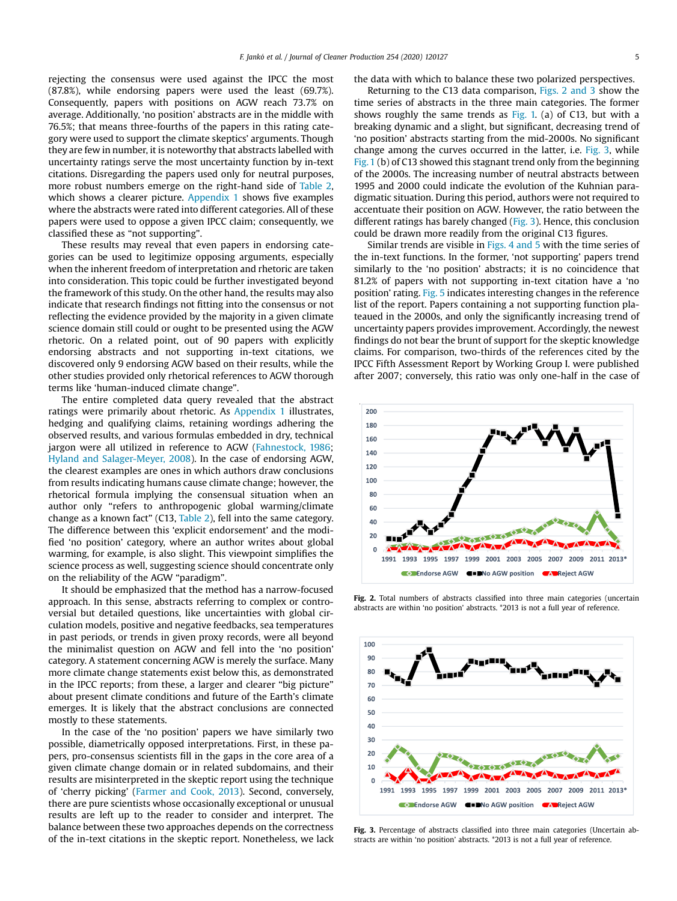rejecting the consensus were used against the IPCC the most (87.8%), while endorsing papers were used the least (69.7%). Consequently, papers with positions on AGW reach 73.7% on average. Additionally, 'no position' abstracts are in the middle with 76.5%; that means three-fourths of the papers in this rating category were used to support the climate skeptics' arguments. Though they are few in number, it is noteworthy that abstracts labelled with uncertainty ratings serve the most uncertainty function by in-text citations. Disregarding the papers used only for neutral purposes, more robust numbers emerge on the right-hand side of [Table](#page-3-0) 2, which shows a clearer picture. [Appendix](#page-6-0) 1 shows five examples where the abstracts were rated into different categories. All of these papers were used to oppose a given IPCC claim; consequently, we classified these as "not supporting".

These results may reveal that even papers in endorsing categories can be used to legitimize opposing arguments, especially when the inherent freedom of interpretation and rhetoric are taken into consideration. This topic could be further investigated beyond the framework of this study. On the other hand, the results may also indicate that research findings not fitting into the consensus or not reflecting the evidence provided by the majority in a given climate science domain still could or ought to be presented using the AGW rhetoric. On a related point, out of 90 papers with explicitly endorsing abstracts and not supporting in-text citations, we discovered only 9 endorsing AGW based on their results, while the other studies provided only rhetorical references to AGW thorough terms like 'human-induced climate change".

The entire completed data query revealed that the abstract ratings were primarily about rhetoric. As [Appendix](#page-6-0) 1 illustrates, hedging and qualifying claims, retaining wordings adhering the observed results, and various formulas embedded in dry, technical jargon were all utilized in reference to AGW [\(Fahnestock,](#page-8-34) 1986; Hyland and [Salager-Meyer,](#page-8-40) 2008). In the case of endorsing AGW, the clearest examples are ones in which authors draw conclusions from results indicating humans cause climate change; however, the rhetorical formula implying the consensual situation when an author only "refers to anthropogenic global warming/climate change as a known fact" (C13, [Table](#page-3-0) 2), fell into the same category. The difference between this 'explicit endorsement' and the modified 'no position' category, where an author writes about global warming, for example, is also slight. This viewpoint simplifies the science process as well, suggesting science should concentrate only on the reliability of the AGW "paradigm".

It should be emphasized that the method has a narrow-focused approach. In this sense, abstracts referring to complex or controversial but detailed questions, like uncertainties with global circulation models, positive and negative feedbacks, sea temperatures in past periods, or trends in given proxy records, were all beyond the minimalist question on AGW and fell into the 'no position' category. A statement concerning AGW is merely the surface. Many more climate change statements exist below this, as demonstrated in the IPCC reports; from these, a larger and clearer "big picture" about present climate conditions and future of the Earth's climate emerges. It is likely that the abstract conclusions are connected mostly to these statements.

In the case of the 'no position' papers we have similarly two possible, diametrically opposed interpretations. First, in these papers, pro-consensus scientists fill in the gaps in the core area of a given climate change domain or in related subdomains, and their results are misinterpreted in the skeptic report using the technique of 'cherry picking' ([Farmer](#page-8-41) and Cook, 2013). Second, conversely, there are pure scientists whose occasionally exceptional or unusual results are left up to the reader to consider and interpret. The balance between these two approaches depends on the correctness of the in-text citations in the skeptic report. Nonetheless, we lack the data with which to balance these two polarized perspectives.

Returning to the C13 data comparison, [Figs.](#page-4-0) 2 and 3 show the time series of abstracts in the three main categories. The former shows roughly the same trends as [Fig.](#page-3-1) 1. (a) of C13, but with a breaking dynamic and a slight, but significant, decreasing trend of 'no position' abstracts starting from the mid-2000s. No significant change among the curves occurred in the latter, i.e. [Fig.](#page-4-1) 3, while [Fig.1](#page-3-1) (b) of C13 showed this stagnant trend only from the beginning of the 2000s. The increasing number of neutral abstracts between 1995 and 2000 could indicate the evolution of the Kuhnian paradigmatic situation. During this period, authors were not required to accentuate their position on AGW. However, the ratio between the different ratings has barely changed ([Fig.](#page-4-1) 3). Hence, this conclusion could be drawn more readily from the original C13 figures.

Similar trends are visible in [Figs.](#page-5-0) 4 and 5 with the time series of the in-text functions. In the former, 'not supporting' papers trend similarly to the 'no position' abstracts; it is no coincidence that 81.2% of papers with not supporting in-text citation have a 'no position' rating. [Fig.](#page-5-1) 5 indicates interesting changes in the reference list of the report. Papers containing a not supporting function plateaued in the 2000s, and only the significantly increasing trend of uncertainty papers provides improvement. Accordingly, the newest findings do not bear the brunt of support for the skeptic knowledge claims. For comparison, two-thirds of the references cited by the IPCC Fifth Assessment Report by Working Group I. were published after 2007; conversely, this ratio was only one-half in the case of

<span id="page-4-0"></span>

Fig. 2. Total numbers of abstracts classified into three main categories (uncertain abstracts are within 'no position' abstracts. \*2013 is not a full year of reference.

<span id="page-4-1"></span>

Fig. 3. Percentage of abstracts classified into three main categories (Uncertain abstracts are within 'no position' abstracts. \*2013 is not a full year of reference.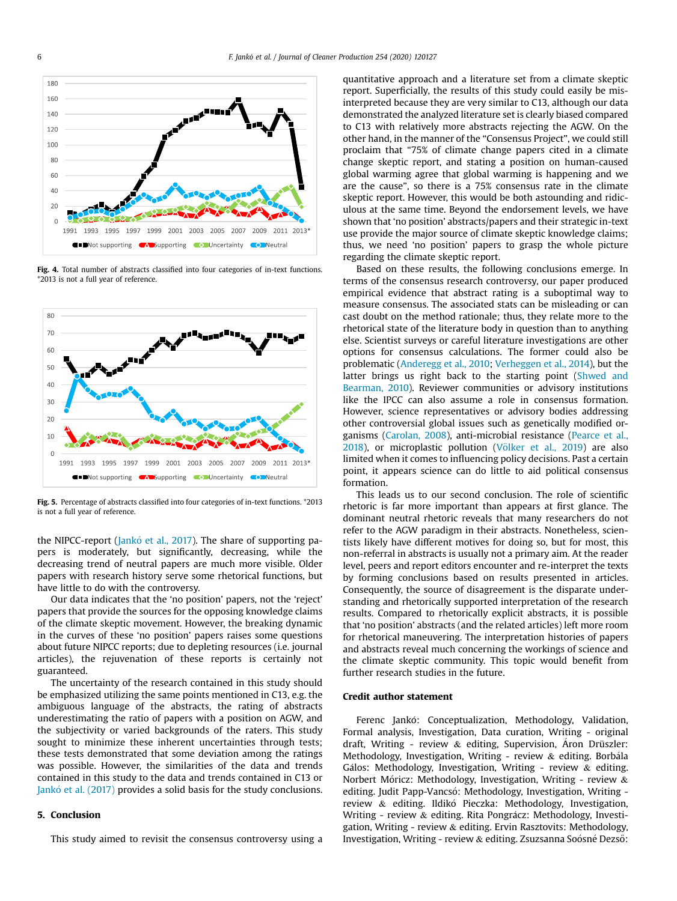<span id="page-5-0"></span>

<span id="page-5-1"></span>Fig. 4. Total number of abstracts classified into four categories of in-text functions. \*2013 is not a full year of reference.



Fig. 5. Percentage of abstracts classified into four categories of in-text functions. \*2013 is not a full year of reference.

the NIPCC-report ([Jank](#page-8-16)ó [et al., 2017](#page-8-16)). The share of supporting papers is moderately, but significantly, decreasing, while the decreasing trend of neutral papers are much more visible. Older papers with research history serve some rhetorical functions, but have little to do with the controversy.

Our data indicates that the 'no position' papers, not the 'reject' papers that provide the sources for the opposing knowledge claims of the climate skeptic movement. However, the breaking dynamic in the curves of these 'no position' papers raises some questions about future NIPCC reports; due to depleting resources (i.e. journal articles), the rejuvenation of these reports is certainly not guaranteed.

The uncertainty of the research contained in this study should be emphasized utilizing the same points mentioned in C13, e.g. the ambiguous language of the abstracts, the rating of abstracts underestimating the ratio of papers with a position on AGW, and the subjectivity or varied backgrounds of the raters. This study sought to minimize these inherent uncertainties through tests; these tests demonstrated that some deviation among the ratings was possible. However, the similarities of the data and trends contained in this study to the data and trends contained in C13 or [Jank](#page-8-16)ó [et al. \(2017\)](#page-8-16) provides a solid basis for the study conclusions.

### 5. Conclusion

This study aimed to revisit the consensus controversy using a

quantitative approach and a literature set from a climate skeptic report. Superficially, the results of this study could easily be misinterpreted because they are very similar to C13, although our data demonstrated the analyzed literature set is clearly biased compared to C13 with relatively more abstracts rejecting the AGW. On the other hand, in the manner of the "Consensus Project", we could still proclaim that "75% of climate change papers cited in a climate change skeptic report, and stating a position on human-caused global warming agree that global warming is happening and we are the cause", so there is a 75% consensus rate in the climate skeptic report. However, this would be both astounding and ridiculous at the same time. Beyond the endorsement levels, we have shown that 'no position' abstracts/papers and their strategic in-text use provide the major source of climate skeptic knowledge claims; thus, we need 'no position' papers to grasp the whole picture regarding the climate skeptic report.

Based on these results, the following conclusions emerge. In terms of the consensus research controversy, our paper produced empirical evidence that abstract rating is a suboptimal way to measure consensus. The associated stats can be misleading or can cast doubt on the method rationale; thus, they relate more to the rhetorical state of the literature body in question than to anything else. Scientist surveys or careful literature investigations are other options for consensus calculations. The former could also be problematic [\(Anderegg et al., 2010;](#page-8-7) [Verheggen et al., 2014\)](#page-9-22), but the latter brings us right back to the starting point [\(Shwed and](#page-9-18) [Bearman, 2010\)](#page-9-18). Reviewer communities or advisory institutions like the IPCC can also assume a role in consensus formation. However, science representatives or advisory bodies addressing other controversial global issues such as genetically modified organisms [\(Carolan, 2008\)](#page-8-42), anti-microbial resistance [\(Pearce et al.,](#page-9-0)  $2018$ ), or microplastic pollution (Völker et al., 2019) are also limited when it comes to influencing policy decisions. Past a certain point, it appears science can do little to aid political consensus formation.

This leads us to our second conclusion. The role of scientific rhetoric is far more important than appears at first glance. The dominant neutral rhetoric reveals that many researchers do not refer to the AGW paradigm in their abstracts. Nonetheless, scientists likely have different motives for doing so, but for most, this non-referral in abstracts is usually not a primary aim. At the reader level, peers and report editors encounter and re-interpret the texts by forming conclusions based on results presented in articles. Consequently, the source of disagreement is the disparate understanding and rhetorically supported interpretation of the research results. Compared to rhetorically explicit abstracts, it is possible that 'no position' abstracts (and the related articles) left more room for rhetorical maneuvering. The interpretation histories of papers and abstracts reveal much concerning the workings of science and the climate skeptic community. This topic would benefit from further research studies in the future.

#### Credit author statement

Ferenc Jankó: Conceptualization, Methodology, Validation, Formal analysis, Investigation, Data curation, Writing - original draft, Writing - review & editing, Supervision, Aron Drüszler: Methodology, Investigation, Writing - review & editing. Borbala Gálos: Methodology, Investigation, Writing - review  $\&$  editing. Norbert Móricz: Methodology, Investigation, Writing - review & editing. Judit Papp-Vancsó: Methodology, Investigation, Writing review & editing. Ildikó Pieczka: Methodology, Investigation, Writing - review & editing. Rita Pongrácz: Methodology, Investigation, Writing - review & editing. Ervin Rasztovits: Methodology, Investigation, Writing - review & editing. Zsuzsanna Soósné Dezső: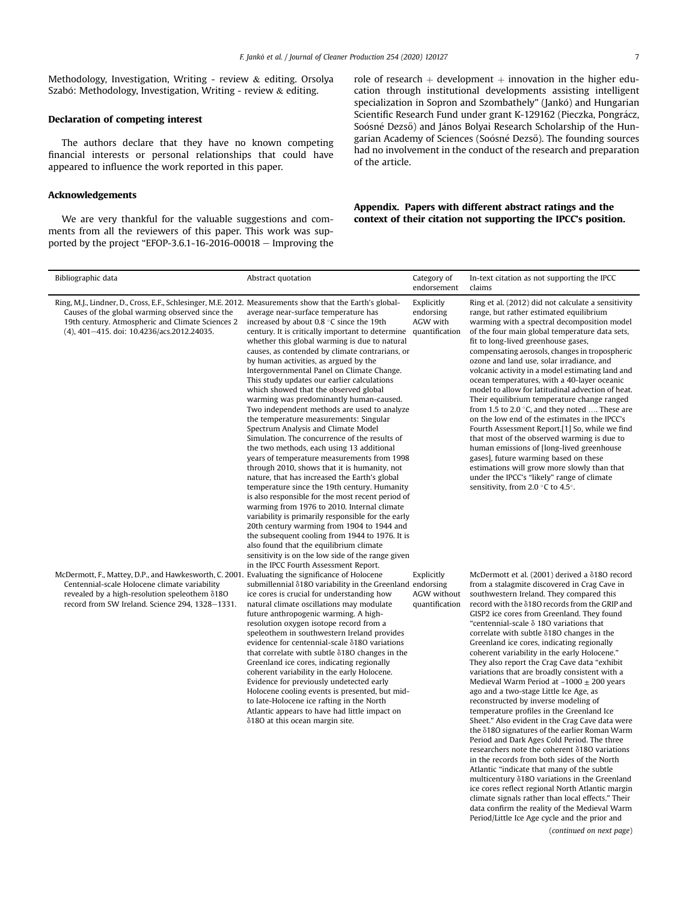Methodology, Investigation, Writing - review & editing. Orsolya Szabó: Methodology, Investigation, Writing - review  $\&$  editing.

#### Declaration of competing interest

The authors declare that they have no known competing financial interests or personal relationships that could have appeared to influence the work reported in this paper.

## Acknowledgements

We are very thankful for the valuable suggestions and comments from all the reviewers of this paper. This work was supported by the project "EFOP-3.6.1-16-2016-00018  $-$  Improving the role of research  $+$  development  $+$  innovation in the higher education through institutional developments assisting intelligent specialization in Sopron and Szombathely" (Jankó) and Hungarian Scientific Research Fund under grant K-129162 (Pieczka, Pongrácz, Soósné Dezső) and János Bolyai Research Scholarship of the Hungarian Academy of Sciences (Soósné Dezső). The founding sources had no involvement in the conduct of the research and preparation of the article.

# <span id="page-6-0"></span>Appendix. Papers with different abstract ratings and the context of their citation not supporting the IPCC's position.

| Bibliographic data                                                                                                                                                                                                                                            | Abstract quotation                                                                                                                                                                                                                                                                                                                                                                                                                                                                                                                                                                                                                                                                                                                                                                                                                                                                                                                                                                                                                                                                                                                                                                                                                                                                                                  | Category of<br>endorsement                  | In-text citation as not supporting the IPCC<br>claims                                                                                                                                                                                                                                                                                                                                                                                                                                                                                                                                                                                                                                                                                                                                                                                                                                                                                                                                                                                                                                                                                                                                                                                                                                                                        |
|---------------------------------------------------------------------------------------------------------------------------------------------------------------------------------------------------------------------------------------------------------------|---------------------------------------------------------------------------------------------------------------------------------------------------------------------------------------------------------------------------------------------------------------------------------------------------------------------------------------------------------------------------------------------------------------------------------------------------------------------------------------------------------------------------------------------------------------------------------------------------------------------------------------------------------------------------------------------------------------------------------------------------------------------------------------------------------------------------------------------------------------------------------------------------------------------------------------------------------------------------------------------------------------------------------------------------------------------------------------------------------------------------------------------------------------------------------------------------------------------------------------------------------------------------------------------------------------------|---------------------------------------------|------------------------------------------------------------------------------------------------------------------------------------------------------------------------------------------------------------------------------------------------------------------------------------------------------------------------------------------------------------------------------------------------------------------------------------------------------------------------------------------------------------------------------------------------------------------------------------------------------------------------------------------------------------------------------------------------------------------------------------------------------------------------------------------------------------------------------------------------------------------------------------------------------------------------------------------------------------------------------------------------------------------------------------------------------------------------------------------------------------------------------------------------------------------------------------------------------------------------------------------------------------------------------------------------------------------------------|
| Ring, M.J., Lindner, D., Cross, E.F., Schlesinger, M.E. 2012. Measurements show that the Earth's global-<br>Causes of the global warming observed since the<br>19th century. Atmospheric and Climate Sciences 2<br>(4), 401-415. doi: 10.4236/acs.2012.24035. | average near-surface temperature has<br>increased by about 0.8 °C since the 19th<br>century. It is critically important to determine quantification<br>whether this global warming is due to natural<br>causes, as contended by climate contrarians, or<br>by human activities, as argued by the<br>Intergovernmental Panel on Climate Change.<br>This study updates our earlier calculations<br>which showed that the observed global<br>warming was predominantly human-caused.<br>Two independent methods are used to analyze<br>the temperature measurements: Singular<br>Spectrum Analysis and Climate Model<br>Simulation. The concurrence of the results of<br>the two methods, each using 13 additional<br>years of temperature measurements from 1998<br>through 2010, shows that it is humanity, not<br>nature, that has increased the Earth's global<br>temperature since the 19th century. Humanity<br>is also responsible for the most recent period of<br>warming from 1976 to 2010. Internal climate<br>variability is primarily responsible for the early<br>20th century warming from 1904 to 1944 and<br>the subsequent cooling from 1944 to 1976. It is<br>also found that the equilibrium climate<br>sensitivity is on the low side of the range given<br>in the IPCC Fourth Assessment Report. | Explicitly<br>endorsing<br>AGW with         | Ring et al. (2012) did not calculate a sensitivity<br>range, but rather estimated equilibrium<br>warming with a spectral decomposition model<br>of the four main global temperature data sets,<br>fit to long-lived greenhouse gases,<br>compensating aerosols, changes in tropospheric<br>ozone and land use, solar irradiance, and<br>volcanic activity in a model estimating land and<br>ocean temperatures, with a 40-layer oceanic<br>model to allow for latitudinal advection of heat.<br>Their equilibrium temperature change ranged<br>from 1.5 to 2.0 $\degree$ C, and they noted  These are<br>on the low end of the estimates in the IPCC's<br>Fourth Assessment Report.[1] So, while we find<br>that most of the observed warming is due to<br>human emissions of [long-lived greenhouse]<br>gases], future warming based on these<br>estimations will grow more slowly than that<br>under the IPCC's "likely" range of climate<br>sensitivity, from 2.0 $\degree$ C to 4.5 $\degree$ .                                                                                                                                                                                                                                                                                                                          |
| McDermott, F., Mattey, D.P., and Hawkesworth, C. 2001. Evaluating the significance of Holocene<br>Centennial-scale Holocene climate variability<br>revealed by a high-resolution speleothem $\delta$ 180<br>record from SW Ireland. Science 294, 1328-1331.   | submillennial $\delta$ 180 variability in the Greenland endorsing<br>ice cores is crucial for understanding how<br>natural climate oscillations may modulate<br>future anthropogenic warming. A high-<br>resolution oxygen isotope record from a<br>speleothem in southwestern Ireland provides<br>evidence for centennial-scale δ180 variations<br>that correlate with subtle $\delta$ 180 changes in the<br>Greenland ice cores, indicating regionally<br>coherent variability in the early Holocene.<br>Evidence for previously undetected early<br>Holocene cooling events is presented, but mid-<br>to late-Holocene ice rafting in the North<br>Atlantic appears to have had little impact on<br>δ180 at this ocean margin site.                                                                                                                                                                                                                                                                                                                                                                                                                                                                                                                                                                              | Explicitly<br>AGW without<br>quantification | McDermott et al. (2001) derived a $\delta$ 180 record<br>from a stalagmite discovered in Crag Cave in<br>southwestern Ireland. They compared this<br>record with the $\delta$ 180 records from the GRIP and<br>GISP2 ice cores from Greenland. They found<br>"centennial-scale $\delta$ 180 variations that<br>correlate with subtle $\delta$ 180 changes in the<br>Greenland ice cores, indicating regionally<br>coherent variability in the early Holocene."<br>They also report the Crag Cave data "exhibit<br>variations that are broadly consistent with a<br>Medieval Warm Period at $~1000 \pm 200$ years<br>ago and a two-stage Little Ice Age, as<br>reconstructed by inverse modeling of<br>temperature profiles in the Greenland Ice<br>Sheet." Also evident in the Crag Cave data were<br>the δ180 signatures of the earlier Roman Warm<br>Period and Dark Ages Cold Period. The three<br>researchers note the coherent $\delta$ 180 variations<br>in the records from both sides of the North<br>Atlantic "indicate that many of the subtle<br>multicentury $\delta$ 180 variations in the Greenland<br>ice cores reflect regional North Atlantic margin<br>climate signals rather than local effects." Their<br>data confirm the reality of the Medieval Warm<br>Period/Little Ice Age cycle and the prior and |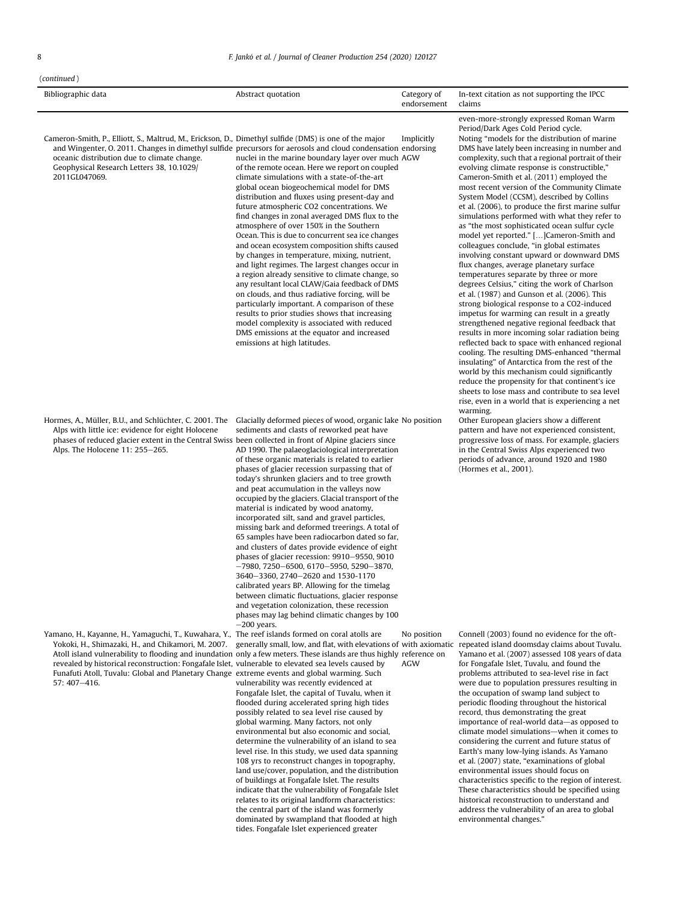#### $(continued)$

| $\mu$              |                    |             |                                             |
|--------------------|--------------------|-------------|---------------------------------------------|
| Bibliographic data | Abstract quotation | Category of | In-text citation as not supporting the IPCC |
|                    |                    | endorsement | claims                                      |

Cameron-Smith, P., Elliott, S., Maltrud, M., Erickson, D., Dimethyl sulfide (DMS) is one of the major and Wingenter, O. 2011. Changes in dimethyl sulfide precursors for aerosols and cloud condensation endorsing oceanic distribution due to climate change. Geophysical Research Letters 38, 10.1029/ 2011GL047069. nuclei in the marine boundary layer over much AGW of the remote ocean. Here we report on coupled climate simulations with a state-of-the-art global ocean biogeochemical model for DMS distribution and fluxes using present-day and future atmospheric CO2 concentrations. We find changes in zonal averaged DMS flux to the atmosphere of over 150% in the Southern Ocean. This is due to concurrent sea ice changes and ocean ecosystem composition shifts caused by changes in temperature, mixing, nutrient, and light regimes. The largest changes occur in a region already sensitive to climate change, so any resultant local CLAW/Gaia feedback of DMS on clouds, and thus radiative forcing, will be particularly important. A comparison of these results to prior studies shows that increasing model complexity is associated with reduced DMS emissions at the equator and increased emissions at high latitudes. Implicitly

Hormes, A., Müller, B.U., and Schlüchter, C. 2001. The Glacially deformed pieces of wood, organic lake Alps with little ice: evidence for eight Holocene phases of reduced glacier extent in the Central Swiss been collected in front of Alpine glaciers since Alps. The Holocene 11: 255-265.

Yamano, H., Kayanne, H., Yamaguchi, T., Kuwahara, Y., The reef islands formed on coral atolls are Yokoki, H., Shimazaki, H., and Chikamori, M. 2007. revealed by historical reconstruction: Fongafale Islet, vulnerable to elevated sea levels caused by Funafuti Atoll, Tuvalu: Global and Planetary Change extreme events and global warming. Such  $57 \cdot 407 - 416$ 

sediments and clasts of reworked peat have AD 1990. The palaeoglaciological interpretation of these organic materials is related to earlier phases of glacier recession surpassing that of today's shrunken glaciers and to tree growth and peat accumulation in the valleys now occupied by the glaciers. Glacial transport of the material is indicated by wood anatomy, incorporated silt, sand and gravel particles, missing bark and deformed treerings. A total of 65 samples have been radiocarbon dated so far, and clusters of dates provide evidence of eight phases of glacier recession: 9910-9550, 9010  $-7980, 7250-6500, 6170-5950, 5290-3870,$ 3640-3360, 2740-2620 and 1530-1170 calibrated years BP. Allowing for the timelag between climatic fluctuations, glacier response and vegetation colonization, these recession phases may lag behind climatic changes by 100

-200 years. Atoll island vulnerability to flooding and inundation only a few meters. These islands are thus highly reference on generally small, low, and flat, with elevations of with axiomatic vulnerability was recently evidenced at Fongafale Islet, the capital of Tuvalu, when it flooded during accelerated spring high tides possibly related to sea level rise caused by global warming. Many factors, not only environmental but also economic and social, determine the vulnerability of an island to sea level rise. In this study, we used data spanning 108 yrs to reconstruct changes in topography, land use/cover, population, and the distribution of buildings at Fongafale Islet. The results indicate that the vulnerability of Fongafale Islet relates to its original landform characteristics: the central part of the island was formerly dominated by swampland that flooded at high No position AGW

tides. Fongafale Islet experienced greater

even-more-strongly expressed Roman Warm Period/Dark Ages Cold Period cycle. Noting "models for the distribution of marine DMS have lately been increasing in number and complexity, such that a regional portrait of their evolving climate response is constructible,' Cameron-Smith et al. (2011) employed the most recent version of the Community Climate System Model (CCSM), described by Collins et al. (2006), to produce the first marine sulfur simulations performed with what they refer to as "the most sophisticated ocean sulfur cycle model yet reported." […]Cameron-Smith and colleagues conclude, "in global estimates involving constant upward or downward DMS flux changes, average planetary surface temperatures separate by three or more degrees Celsius," citing the work of Charlson et al. (1987) and Gunson et al. (2006). This strong biological response to a CO2-induced impetus for warming can result in a greatly strengthened negative regional feedback that results in more incoming solar radiation being reflected back to space with enhanced regional cooling. The resulting DMS-enhanced "thermal insulating" of Antarctica from the rest of the world by this mechanism could significantly reduce the propensity for that continent's ice sheets to lose mass and contribute to sea level rise, even in a world that is experiencing a net warming.

Other European glaciers show a different pattern and have not experienced consistent, progressive loss of mass. For example, glaciers in the Central Swiss Alps experienced two periods of advance, around 1920 and 1980 (Hormes et al., 2001).

Connell (2003) found no evidence for the oftrepeated island doomsday claims about Tuvalu. Yamano et al. (2007) assessed 108 years of data for Fongafale Islet, Tuvalu, and found the problems attributed to sea-level rise in fact were due to population pressures resulting in the occupation of swamp land subject to periodic flooding throughout the historical record, thus demonstrating the great importance of real-world data-as opposed to climate model simulations-when it comes to considering the current and future status of Earth's many low-lying islands. As Yamano et al. (2007) state, "examinations of global environmental issues should focus on characteristics specific to the region of interest. These characteristics should be specified using historical reconstruction to understand and address the vulnerability of an area to global environmental changes."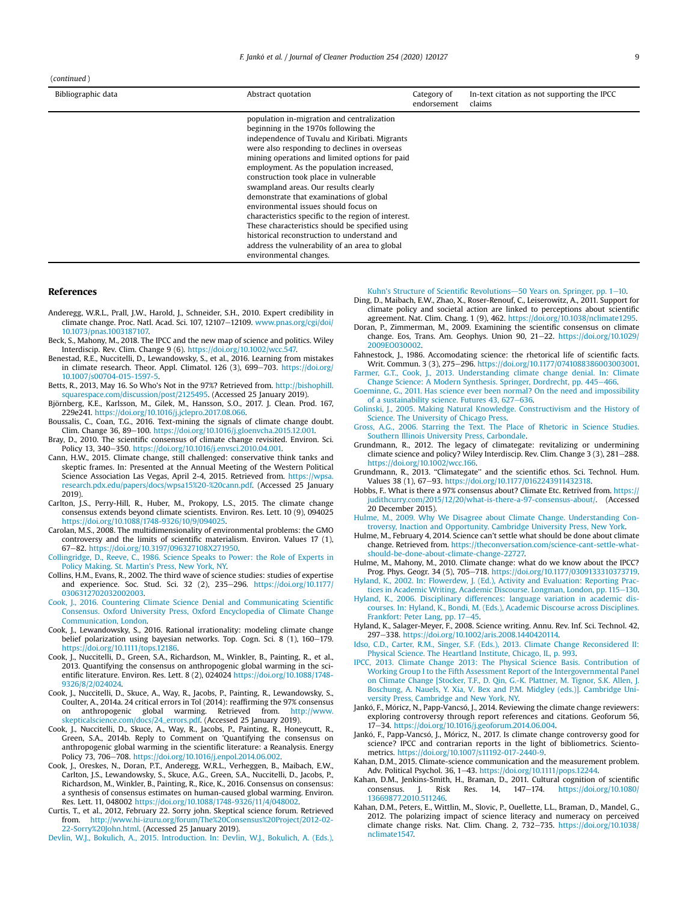#### (continued )

| Bibliographic data | Abstract quotation                                                                                                                                                                                                                                                                                                                                                                                                                                                                                                                                                                                                                                                                         | Category of<br>endorsement | In-text citation as not supporting the IPCC<br>claims |
|--------------------|--------------------------------------------------------------------------------------------------------------------------------------------------------------------------------------------------------------------------------------------------------------------------------------------------------------------------------------------------------------------------------------------------------------------------------------------------------------------------------------------------------------------------------------------------------------------------------------------------------------------------------------------------------------------------------------------|----------------------------|-------------------------------------------------------|
|                    | population in-migration and centralization<br>beginning in the 1970s following the<br>independence of Tuvalu and Kiribati. Migrants<br>were also responding to declines in overseas<br>mining operations and limited options for paid<br>employment. As the population increased,<br>construction took place in vulnerable<br>swampland areas. Our results clearly<br>demonstrate that examinations of global<br>environmental issues should focus on<br>characteristics specific to the region of interest.<br>These characteristics should be specified using<br>historical reconstruction to understand and<br>address the vulnerability of an area to global<br>environmental changes. |                            |                                                       |

### References

- <span id="page-8-7"></span>Anderegg, W.R.L., Prall, J.W., Harold, J., Schneider, S.H., 2010. Expert credibility in climate change. Proc. Natl. Acad. Sci. 107, 12107-12109. [www.pnas.org/cgi/doi/](http://www.pnas.org/cgi/doi/10.1073/pnas.1003187107) [10.1073/pnas.1003187107.](http://www.pnas.org/cgi/doi/10.1073/pnas.1003187107)
- <span id="page-8-0"></span>Beck, S., Mahony, M., 2018. The IPCC and the new map of science and politics. Wiley Interdiscip. Rev. Clim. Change 9 (6). [https://doi.org/10.1002/wcc.547.](https://doi.org/10.1002/wcc.547)
- <span id="page-8-8"></span>Benestad, R.E., Nuccitelli, D., Lewandowsky, S., et al., 2016. Learning from mistakes in climate research. Theor. Appl. Climatol. 126 (3), 699-703. [https://doi.org/](https://doi.org/10.1007/s00704-015-1597-5) [10.1007/s00704-015-1597-5](https://doi.org/10.1007/s00704-015-1597-5).
- <span id="page-8-18"></span>Betts, R., 2013, May 16. So Who's Not in the 97%? Retrieved from. [http://bishophill.](http://bishophill.squarespace.com/discussion/post/2125495) [squarespace.com/discussion/post/2125495.](http://bishophill.squarespace.com/discussion/post/2125495) (Accessed 25 January 2019).
- <span id="page-8-17"></span>Björnberg, K.E., Karlsson, M., Gilek, M., Hansson, S.O., 2017. J. Clean. Prod. 167, 229e241. [https://doi.org/10.1016/j.jclepro.2017.08.066.](https://doi.org/10.1016/j.jclepro.2017.08.066)
- <span id="page-8-35"></span>Boussalis, C., Coan, T.G., 2016. Text-mining the signals of climate change doubt. Clim. Change 36, 89-100. [https://doi.org/10.1016/j.gloenvcha.2015.12.001.](https://doi.org/10.1016/j.gloenvcha.2015.12.001)
- <span id="page-8-9"></span>Bray, D., 2010. The scientific consensus of climate change revisited. Environ. Sci. Policy 13, 340-350. [https://doi.org/10.1016/j.envsci.2010.04.001.](https://doi.org/10.1016/j.envsci.2010.04.001)
- <span id="page-8-36"></span>Cann, H.W., 2015. Climate change, still challenged: conservative think tanks and skeptic frames. In: Presented at the Annual Meeting of the Western Political Science Association Las Vegas, April 2-4, 2015. Retrieved from. [https://wpsa.](https://wpsa.research.pdx.edu/papers/docs/wpsa15%20-%20cann.pdf) [research.pdx.edu/papers/docs/wpsa15%20-%20cann.pdf.](https://wpsa.research.pdx.edu/papers/docs/wpsa15%20-%20cann.pdf) (Accessed 25 January 2019).
- <span id="page-8-12"></span>Carlton, J.S., Perry-Hill, R., Huber, M., Prokopy, L.S., 2015. The climate change consensus extends beyond climate scientists. Environ. Res. Lett. 10 (9), 094025 <https://doi.org/10.1088/1748-9326/10/9/094025>.
- <span id="page-8-42"></span>Carolan, M.S., 2008. The multidimensionality of environmental problems: the GMO controversy and the limits of scientific materialism. Environ. Values 17 (1), 67e82. <https://doi.org/10.3197/096327108X271950>.
- <span id="page-8-23"></span>[Collingridge, D., Reeve, C., 1986. Science Speaks to Power: the Role of Experts in](http://refhub.elsevier.com/S0959-6526(20)30174-8/sref11) [Policy Making. St. Martin](http://refhub.elsevier.com/S0959-6526(20)30174-8/sref11)'s Press, New York, NY.
- <span id="page-8-29"></span>Collins, H.M., Evans, R., 2002. The third wave of science studies: studies of expertise and experience. Soc. Stud. Sci. 32 (2), 235-296. [https://doi.org/10.1177/](https://doi.org/10.1177/0306312702032002003) [0306312702032002003](https://doi.org/10.1177/0306312702032002003).
- <span id="page-8-13"></span>[Cook, J., 2016. Countering Climate Science Denial and Communicating Scienti](http://refhub.elsevier.com/S0959-6526(20)30174-8/sref13)fic [Consensus. Oxford University Press, Oxford Encyclopedia of Climate Change](http://refhub.elsevier.com/S0959-6526(20)30174-8/sref13) [Communication, London](http://refhub.elsevier.com/S0959-6526(20)30174-8/sref13).
- <span id="page-8-20"></span>Cook, J., Lewandowsky, S., 2016. Rational irrationality: modeling climate change belief polarization using bayesian networks. Top. Cogn. Sci. 8 (1), 160-179. [https://doi.org/10.1111/tops.12186.](https://doi.org/10.1111/tops.12186)
- <span id="page-8-11"></span>Cook, J., Nuccitelli, D., Green, S.A., Richardson, M., Winkler, B., Painting, R., et al., 2013. Quantifying the consensus on anthropogenic global warming in the scientific literature. Environ. Res. Lett. 8 (2), 024024 [https://doi.org/10.1088/1748-](https://doi.org/10.1088/1748-9326/8/2/024024) [9326/8/2/024024.](https://doi.org/10.1088/1748-9326/8/2/024024)
- <span id="page-8-38"></span>Cook, J., Nuccitelli, D., Skuce, A., Way, R., Jacobs, P., Painting, R., Lewandowsky, S., Coulter, A., 2014a. 24 critical errors in Tol (2014): reaffirming the 97% consensus on anthropogenic global warming. Retrieved from. [http://www.](http://www.skepticalscience.com/docs/24_errors.pdf) [skepticalscience.com/docs/24\\_errors.pdf](http://www.skepticalscience.com/docs/24_errors.pdf). (Accessed 25 January 2019).
- <span id="page-8-39"></span>Cook, J., Nuccitelli, D., Skuce, A., Way, R., Jacobs, P., Painting, R., Honeycutt, R., Green, S.A., 2014b. Reply to Comment on 'Quantifying the consensus on anthropogenic global warming in the scientific literature: a Reanalysis. Energy Policy 73, 706-708. [https://doi.org/10.1016/j.enpol.2014.06.002.](https://doi.org/10.1016/j.enpol.2014.06.002)
- <span id="page-8-14"></span>Cook, J., Oreskes, N., Doran, P.T., Anderegg, W.R.L., Verheggen, B., Maibach, E.W., Carlton, J.S., Lewandowsky, S., Skuce, A.G., Green, S.A., Nuccitelli, D., Jacobs, P., Richardson, M., Winkler, B., Painting, R., Rice, K., 2016. Consensus on consensus: a synthesis of consensus estimates on human-caused global warming. Environ. Res. Lett. 11, 048002 [https://doi.org/10.1088/1748-9326/11/4/048002.](https://doi.org/10.1088/1748-9326/11/4/048002)
- <span id="page-8-27"></span>Curtis, T., et al., 2012, February 22. Sorry john. Skeptical science forum. Retrieved from. [http://www.hi-izuru.org/forum/The%20Consensus%20Project/2012-02-](http://www.hi-izuru.org/forum/The%20Consensus%20Project/2012-02-22-Sorry%20John.html) [22-Sorry%20John.html](http://www.hi-izuru.org/forum/The%20Consensus%20Project/2012-02-22-Sorry%20John.html). (Accessed 25 January 2019).

<span id="page-8-28"></span>[Devlin, W.J., Bokulich, A., 2015. Introduction. In: Devlin, W.J., Bokulich, A. \(Eds.\),](http://refhub.elsevier.com/S0959-6526(20)30174-8/sref20)

Kuhn'[s Structure of Scienti](http://refhub.elsevier.com/S0959-6526(20)30174-8/sref20)fic Revolutions-[50 Years on. Springer, pp. 1](http://refhub.elsevier.com/S0959-6526(20)30174-8/sref20)-[10](http://refhub.elsevier.com/S0959-6526(20)30174-8/sref20).

- <span id="page-8-21"></span>Ding, D., Maibach, E.W., Zhao, X., Roser-Renouf, C., Leiserowitz, A., 2011. Support for climate policy and societal action are linked to perceptions about scientific agreement. Nat. Clim. Chang. 1 (9), 462. [https://doi.org/10.1038/nclimate1295.](https://doi.org/10.1038/nclimate1295)
- <span id="page-8-10"></span>Doran, P., Zimmerman, M., 2009. Examining the scientific consensus on climate change. Eos, Trans. Am. Geophys. Union 90, 21-22. [https://doi.org/10.1029/](https://doi.org/10.1029/2009EO030002) [2009EO030002](https://doi.org/10.1029/2009EO030002).
- <span id="page-8-34"></span>Fahnestock, J., 1986. Accomodating science: the rhetorical life of scientific facts. Writ. Commun. 3 (3), 275-296. [https://doi.org/10.1177/0741088386003003001.](https://doi.org/10.1177/0741088386003003001)
- <span id="page-8-41"></span>[Farmer, G.T., Cook, J., 2013. Understanding climate change denial. In: Climate](http://refhub.elsevier.com/S0959-6526(20)30174-8/sref24) [Change Science: A Modern Synthesis. Springer, Dordrecht, pp. 445](http://refhub.elsevier.com/S0959-6526(20)30174-8/sref24)–[466.](http://refhub.elsevier.com/S0959-6526(20)30174-8/sref24)
- <span id="page-8-33"></span>[Goeminne, G., 2011. Has science ever been normal? On the need and impossibility](http://refhub.elsevier.com/S0959-6526(20)30174-8/sref25) [of a sustainability science. Futures 43, 627](http://refhub.elsevier.com/S0959-6526(20)30174-8/sref25)-[636.](http://refhub.elsevier.com/S0959-6526(20)30174-8/sref25) [Golinski, J., 2005. Making Natural Knowledge. Constructivism and the History of](http://refhub.elsevier.com/S0959-6526(20)30174-8/sref26)
- <span id="page-8-30"></span>[Science. The University of Chicago Press.](http://refhub.elsevier.com/S0959-6526(20)30174-8/sref26)
- <span id="page-8-5"></span>[Gross, A.G., 2006. Starring the Text. The Place of Rhetoric in Science Studies.](http://refhub.elsevier.com/S0959-6526(20)30174-8/sref27) [Southern Illinois University Press, Carbondale.](http://refhub.elsevier.com/S0959-6526(20)30174-8/sref27)
- <span id="page-8-2"></span>Grundmann, R., 2012. The legacy of climategate: revitalizing or undermining climate science and policy? Wiley Interdiscip. Rev. Clim. Change 3 (3), 281-288. [https://doi.org/10.1002/wcc.166.](https://doi.org/10.1002/wcc.166)
- <span id="page-8-3"></span>Grundmann, R., 2013. ''Climategate'' and the scientific ethos. Sci. Technol. Hum. Values 38 (1), 67-93. https://doi.org/10.1177/0162243911432318
- <span id="page-8-26"></span>Hobbs, F.. What is there a 97% consensus about? Climate Etc. Retrived from. [https://](https://judithcurry.com/2015/12/20/what-is-there-a-97-consensus-about/) [judithcurry.com/2015/12/20/what-is-there-a-97-consensus-about/](https://judithcurry.com/2015/12/20/what-is-there-a-97-consensus-about/). (Accessed 20 December 2015).
- <span id="page-8-32"></span>[Hulme, M., 2009. Why We Disagree about Climate Change. Understanding Con](http://refhub.elsevier.com/S0959-6526(20)30174-8/sref31)[troversy, Inaction and Opportunity. Cambridge University Press, New York.](http://refhub.elsevier.com/S0959-6526(20)30174-8/sref31)
- <span id="page-8-19"></span>Hulme, M., February 4, 2014. Science can't settle what should be done about climate change. Retrieved from. [https://theconversation.com/science-cant-settle-what](https://theconversation.com/science-cant-settle-what-should-be-done-about-climate-change-22727)[should-be-done-about-climate-change-22727.](https://theconversation.com/science-cant-settle-what-should-be-done-about-climate-change-22727)

<span id="page-8-1"></span>Hulme, M., Mahony, M., 2010. Climate change: what do we know about the IPCC? Prog. Phys. Geogr. 34 (5), 705-718. <https://doi.org/10.1177/0309133310373719>.

<span id="page-8-6"></span>[Hyland, K., 2002. In: Flowerdew, J. \(Ed.\), Activity and Evaluation: Reporting Prac](http://refhub.elsevier.com/S0959-6526(20)30174-8/sref34)[tices in Academic Writing, Academic Discourse. Longman, London, pp. 115](http://refhub.elsevier.com/S0959-6526(20)30174-8/sref34)-[130](http://refhub.elsevier.com/S0959-6526(20)30174-8/sref34).

- <span id="page-8-31"></span>[Hyland, K., 2006. Disciplinary differences: language variation in academic dis](http://refhub.elsevier.com/S0959-6526(20)30174-8/sref35)[courses. In: Hyland, K., Bondi, M. \(Eds.\), Academic Discourse across Disciplines.](http://refhub.elsevier.com/S0959-6526(20)30174-8/sref35) [Frankfort: Peter Lang, pp. 17](http://refhub.elsevier.com/S0959-6526(20)30174-8/sref35)-[45.](http://refhub.elsevier.com/S0959-6526(20)30174-8/sref35)
- <span id="page-8-40"></span>Hyland, K., Salager-Meyer, F., 2008. Science writing. Annu. Rev. Inf. Sci. Technol. 42, 297-338. <https://doi.org/10.1002/aris.2008.1440420114>.
- <span id="page-8-37"></span>[Idso, C.D., Carter, R.M., Singer, S.F. \(Eds.\), 2013. Climate Change Reconsidered II:](http://refhub.elsevier.com/S0959-6526(20)30174-8/sref37) [Physical Science. The Heartland Institute, Chicago, IL, p. 993](http://refhub.elsevier.com/S0959-6526(20)30174-8/sref37).
- <span id="page-8-15"></span>[IPCC, 2013. Climate Change 2013: The Physical Science Basis. Contribution of](http://refhub.elsevier.com/S0959-6526(20)30174-8/sref38) [Working Group I to the Fifth Assessment Report of the Intergovernmental Panel](http://refhub.elsevier.com/S0959-6526(20)30174-8/sref38) [on Climate Change \[Stocker, T.F., D. Qin, G.-K. Plattner, M. Tignor, S.K. Allen, J.](http://refhub.elsevier.com/S0959-6526(20)30174-8/sref38) [Boschung, A. Nauels, Y. Xia, V. Bex and P.M. Midgley \(eds.\)\]. Cambridge Uni](http://refhub.elsevier.com/S0959-6526(20)30174-8/sref38)[versity Press, Cambridge and New York, NY.](http://refhub.elsevier.com/S0959-6526(20)30174-8/sref38)
- <span id="page-8-4"></span>Jankó, F., Móricz, N., Papp-Vancsó, J., 2014. Reviewing the climate change reviewers: exploring controversy through report references and citations. Geoforum 56, 17-34. <https://doi.org/10.1016/j.geoforum.2014.06.004>.
- <span id="page-8-16"></span>Jankó, F., Papp-Vancsó, J., Móricz, N., 2017. Is climate change controversy good for science? IPCC and contrarian reports in the light of bibliometrics. Scientometrics. [https://doi.org/10.1007/s11192-017-2440-9.](https://doi.org/10.1007/s11192-017-2440-9)
- <span id="page-8-22"></span>Kahan, D.M., 2015. Climate-science communication and the measurement problem. Adv. Political Psychol. 36, 1-43. https://doi.org/10.1111/pops.12244
- <span id="page-8-24"></span>Kahan, D.M., Jenkins-Smith, H., Braman, D., 2011. Cultural cognition of scientific consensus. J. Risk Res. 14, 147-174. [https://doi.org/10.1080/](https://doi.org/10.1080/13669877.2010.511246) [13669877.2010.511246.](https://doi.org/10.1080/13669877.2010.511246)
- <span id="page-8-25"></span>Kahan, D.M., Peters, E., Wittlin, M., Slovic, P., Ouellette, L.L., Braman, D., Mandel, G., 2012. The polarizing impact of science literacy and numeracy on perceived climate change risks. Nat. Clim. Chang. 2, 732-735. [https://doi.org/10.1038/](https://doi.org/10.1038/nclimate1547) [nclimate1547.](https://doi.org/10.1038/nclimate1547)